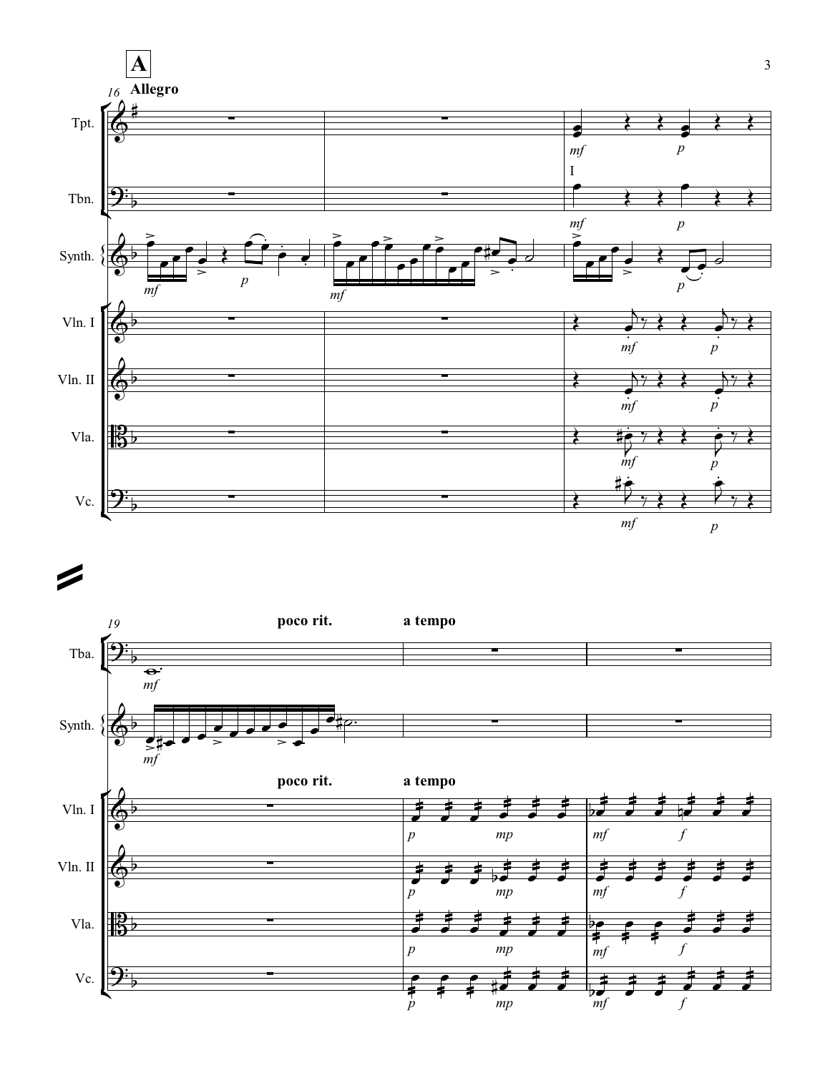



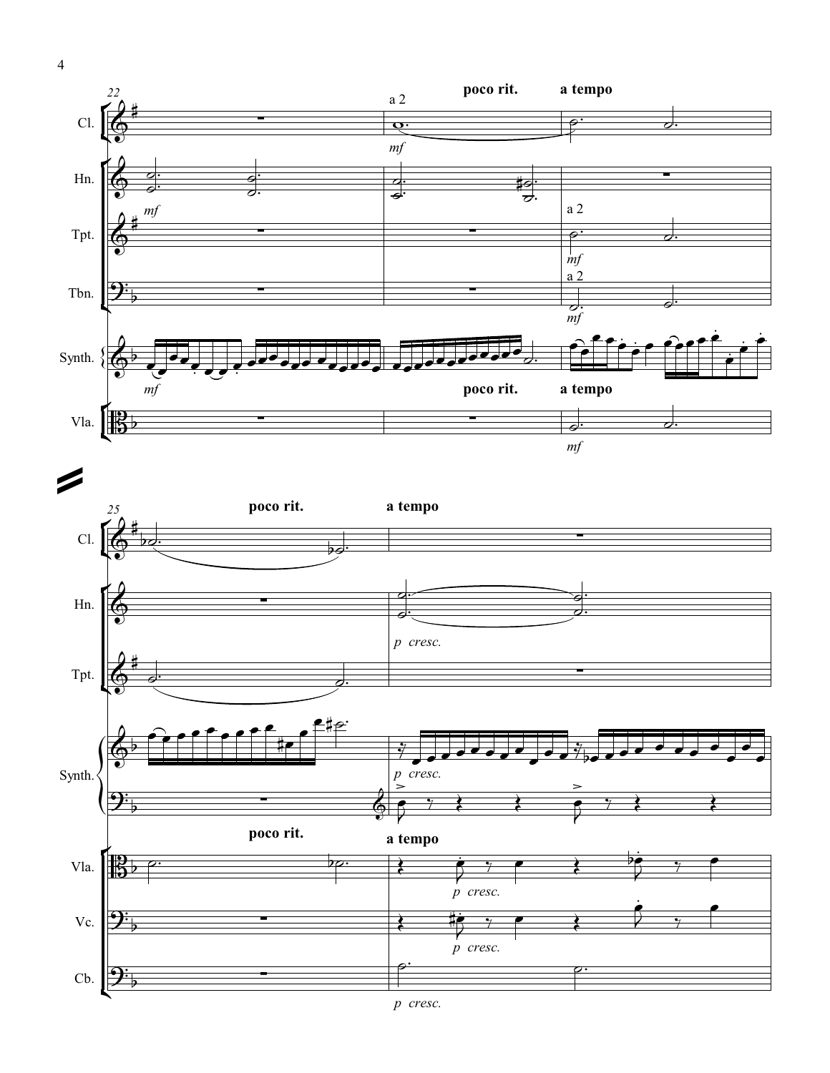

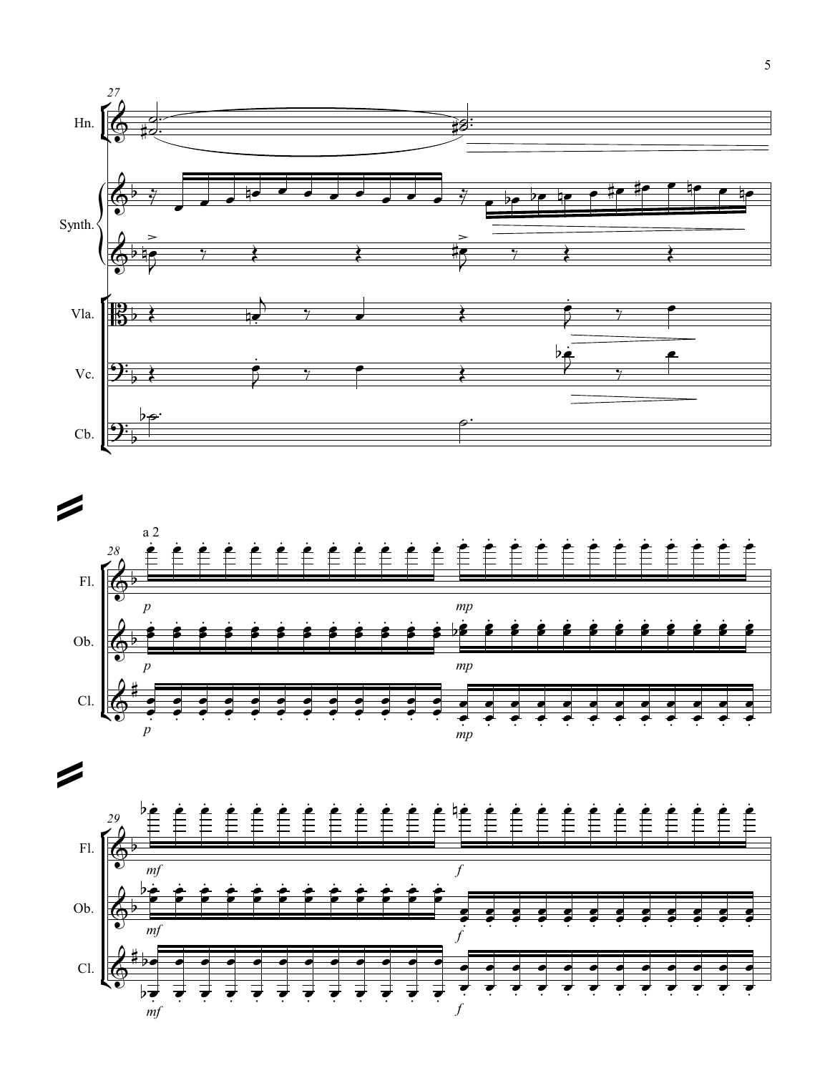





5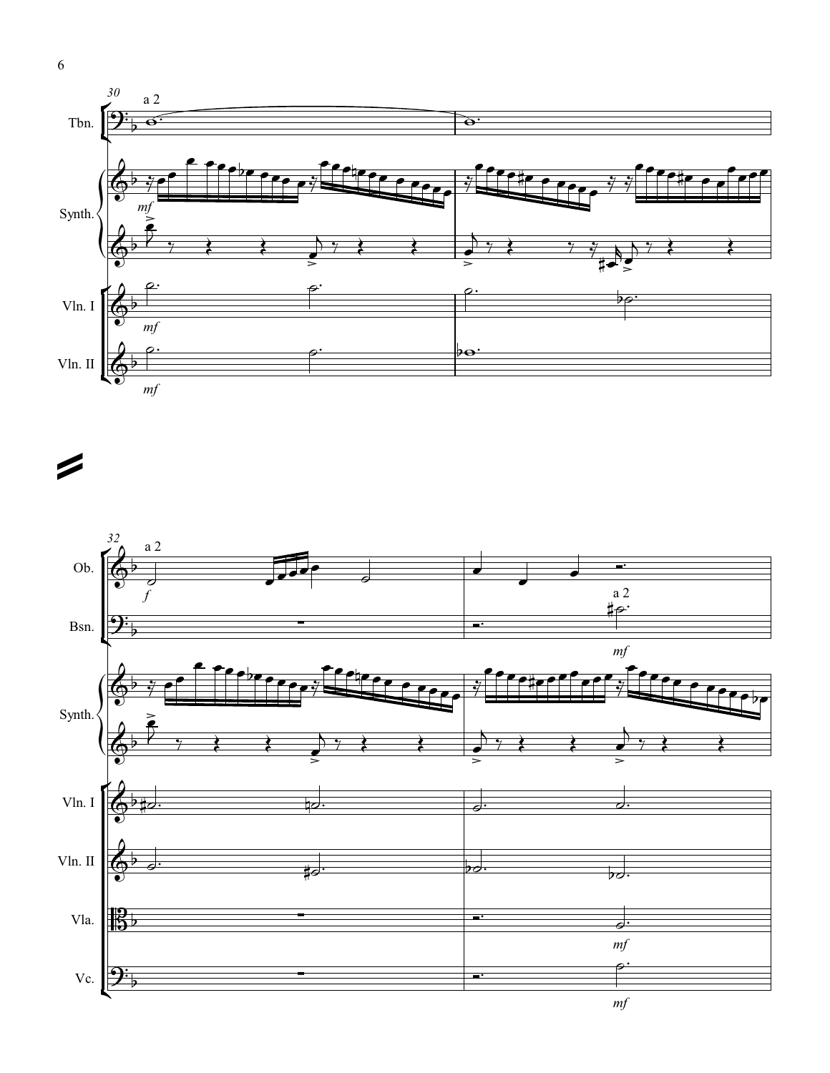

 $\boldsymbol{z}$ 



6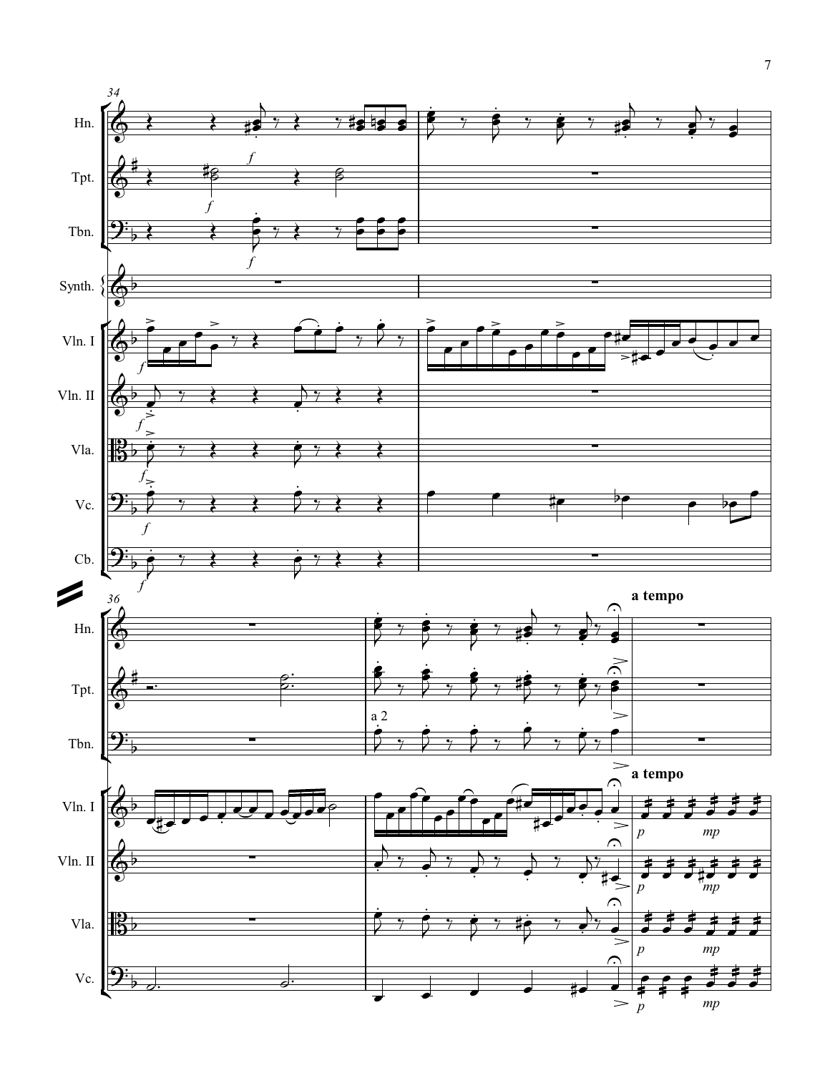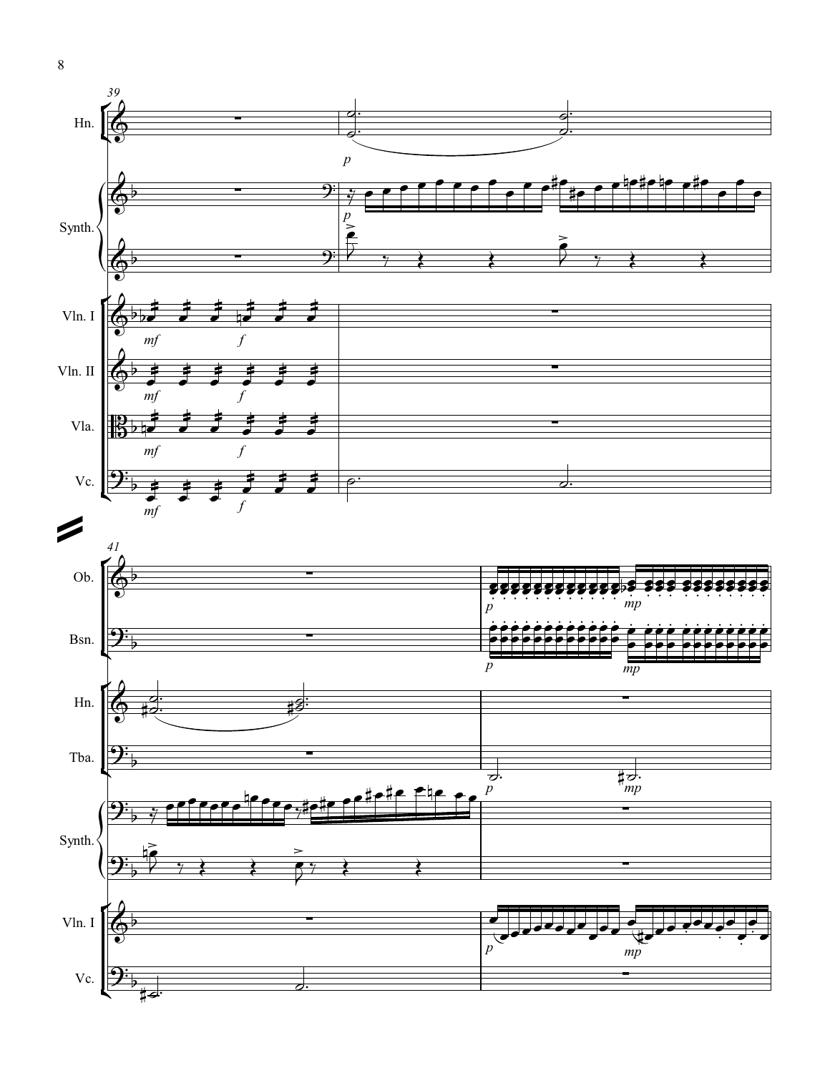

8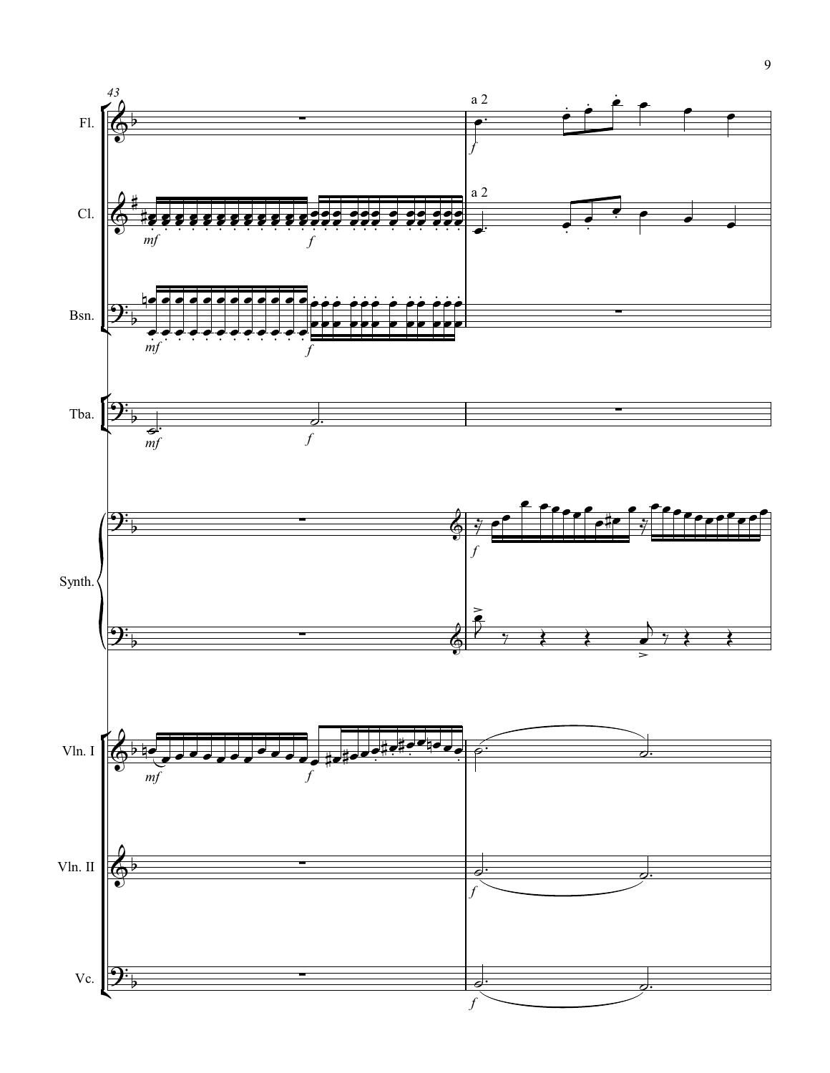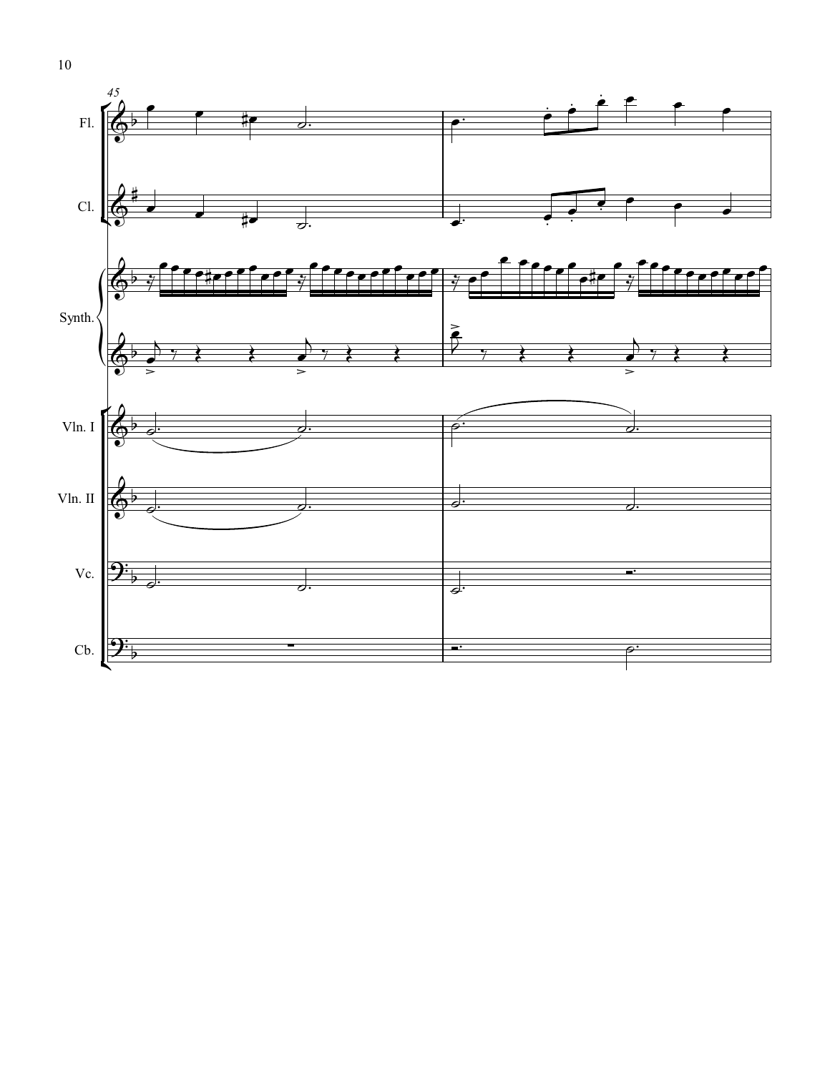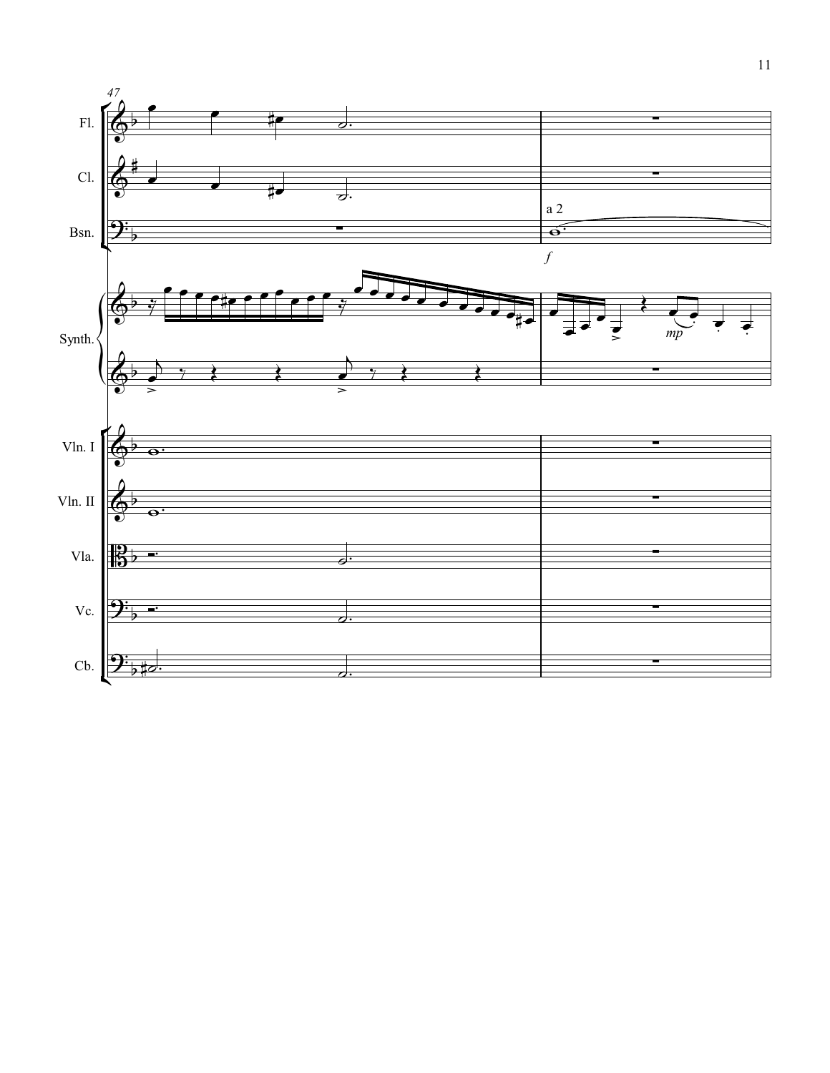